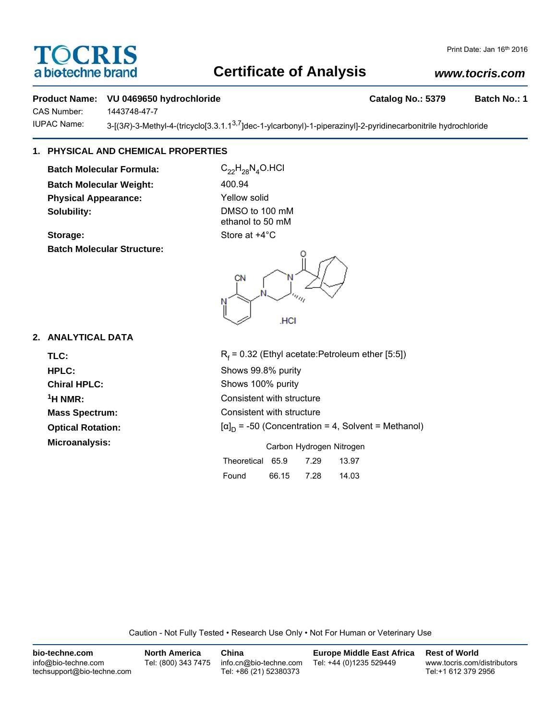# OCRIS a biotechne brand

# **Certificate of Analysis**

# Print Date: Jan 16th 2016

# *www.tocris.com*

## **Product Name: VU 0469650 hydrochloride Catalog No.: 5379 Batch No.: 1**

CAS Number: 1443748-47-7

IUPAC Name: 3-[(3*R*)-3-Methyl-4-(tricyclo[3.3.1.1<sup>3,7</sup>]dec-1-ylcarbonyl)-1-piperazinyl]-2-pyridinecarbonitrile hydrochloride

# **1. PHYSICAL AND CHEMICAL PROPERTIES**

**Batch Molecular Formula:** C<sub>22</sub>H<sub>28</sub>N<sub>4</sub>O.HCl **Batch Molecular Weight:** 400.94 **Physical Appearance:** Yellow solid **Solubility:** DMSO to 100 mM

**Storage:** Store at  $+4^{\circ}$ C **Batch Molecular Structure:**

ethanol to 50 mM

.HCI

## **2. ANALYTICAL DATA**

TLC: R<sub>f</sub> **Optical Rotation: Microanalysis:** Microanalysis: Exercise of Carbon Hydrogen Nitrogen

 $R_f$  = 0.32 (Ethyl acetate:Petroleum ether [5:5]) **HPLC:** Shows 99.8% purity **Chiral HPLC:** Shows 100% purity **1H NMR:** Consistent with structure **Mass Spectrum:** Consistent with structure  $[\alpha]_D$  = -50 (Concentration = 4, Solvent = Methanol)

|                  | Carbott Tivulogen Nitrogen |      |       |
|------------------|----------------------------|------|-------|
| Theoretical 65.9 |                            | 7.29 | 13.97 |
| Found            | 66.15                      | 7.28 | 14.03 |

Caution - Not Fully Tested • Research Use Only • Not For Human or Veterinary Use

| bio-techne.com                                    | <b>North America</b> | China                                            | <b>Europe Middle East Africa</b> | <b>Rest of World</b>                               |
|---------------------------------------------------|----------------------|--------------------------------------------------|----------------------------------|----------------------------------------------------|
| info@bio-techne.com<br>techsupport@bio-techne.com | Tel: (800) 343 7475  | info.cn@bio-techne.com<br>Tel: +86 (21) 52380373 | Tel: +44 (0)1235 529449          | www.tocris.com/distributors<br>Tel:+1 612 379 2956 |